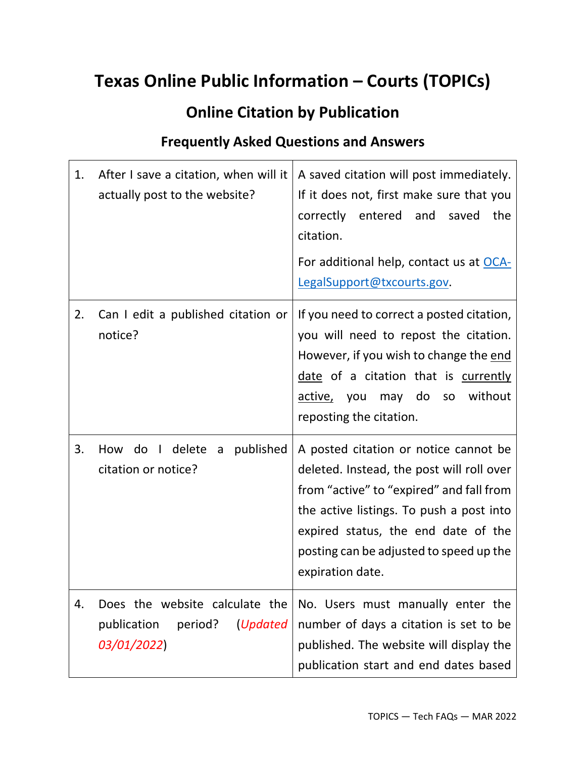## **Texas Online Public Information – Courts (TOPICs)**

## **Online Citation by Publication**

## **Frequently Asked Questions and Answers**

| 1. | After I save a citation, when will it<br>actually post to the website?                      | A saved citation will post immediately.<br>If it does not, first make sure that you<br>correctly<br>entered<br>and<br>saved<br>the<br>citation.<br>For additional help, contact us at OCA-<br>LegalSupport@txcourts.gov.                                                         |
|----|---------------------------------------------------------------------------------------------|----------------------------------------------------------------------------------------------------------------------------------------------------------------------------------------------------------------------------------------------------------------------------------|
| 2. | Can I edit a published citation or<br>notice?                                               | If you need to correct a posted citation,<br>you will need to repost the citation.<br>However, if you wish to change the end<br>date of a citation that is currently<br>may do<br>without<br>active, you<br>SO<br>reposting the citation.                                        |
| 3. | do I<br>delete<br>a published<br>How<br>citation or notice?                                 | A posted citation or notice cannot be<br>deleted. Instead, the post will roll over<br>from "active" to "expired" and fall from<br>the active listings. To push a post into<br>expired status, the end date of the<br>posting can be adjusted to speed up the<br>expiration date. |
| 4. | Does the website calculate the<br>publication<br>period?<br><i>(Updated)</i><br>03/01/2022) | No. Users must manually enter the<br>number of days a citation is set to be<br>published. The website will display the<br>publication start and end dates based                                                                                                                  |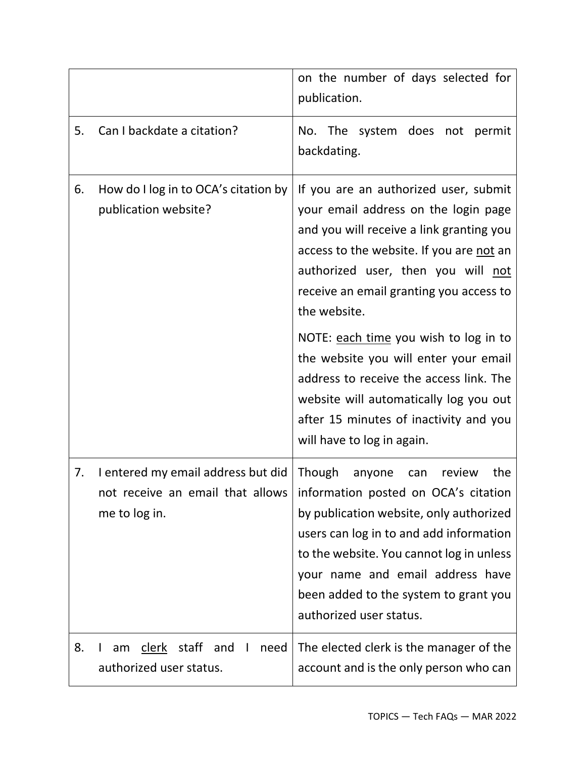|    |                                                                            | on the number of days selected for<br>publication.                                                                                                                                                                                                                                                                                                                                                                                                                                                                    |
|----|----------------------------------------------------------------------------|-----------------------------------------------------------------------------------------------------------------------------------------------------------------------------------------------------------------------------------------------------------------------------------------------------------------------------------------------------------------------------------------------------------------------------------------------------------------------------------------------------------------------|
| 5. | Can I backdate a citation?                                                 | No. The system does not<br>permit<br>backdating.                                                                                                                                                                                                                                                                                                                                                                                                                                                                      |
| 6. | How do I log in to OCA's citation by<br>publication website?               | If you are an authorized user, submit<br>your email address on the login page<br>and you will receive a link granting you<br>access to the website. If you are not an<br>authorized user, then you will not<br>receive an email granting you access to<br>the website.<br>NOTE: each time you wish to log in to<br>the website you will enter your email<br>address to receive the access link. The<br>website will automatically log you out<br>after 15 minutes of inactivity and you<br>will have to log in again. |
| 7. | I entered my email address but did<br>me to log in.                        | Though anyone<br>the<br>review<br>can<br>not receive an email that allows   information posted on OCA's citation<br>by publication website, only authorized<br>users can log in to and add information<br>to the website. You cannot log in unless<br>your name and email address have<br>been added to the system to grant you<br>authorized user status.                                                                                                                                                            |
| 8. | staff and<br>am clerk<br>need<br>$\blacksquare$<br>authorized user status. | The elected clerk is the manager of the<br>account and is the only person who can                                                                                                                                                                                                                                                                                                                                                                                                                                     |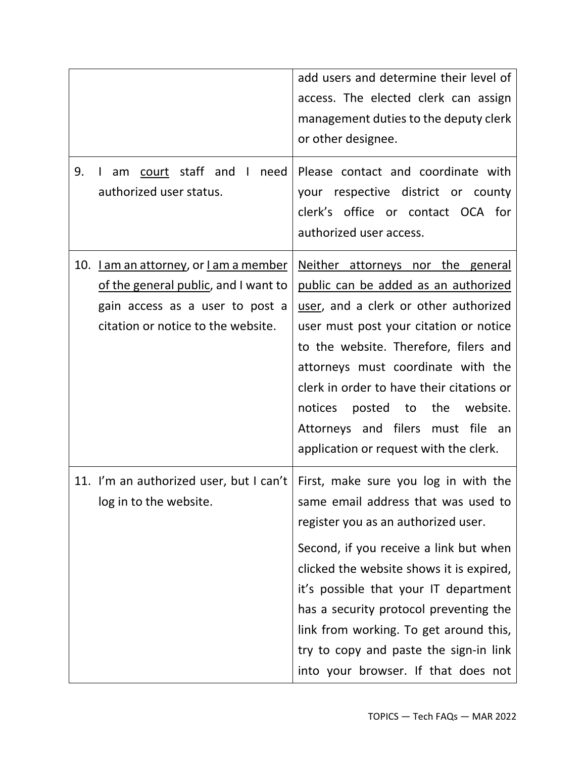| 9. | am court staff and I need<br>authorized user status.                                                                                                  | add users and determine their level of<br>access. The elected clerk can assign<br>management duties to the deputy clerk<br>or other designee.<br>Please contact and coordinate with<br>your respective district or county<br>clerk's office or contact OCA for<br>authorized user access.                                                                                                                                                                        |
|----|-------------------------------------------------------------------------------------------------------------------------------------------------------|------------------------------------------------------------------------------------------------------------------------------------------------------------------------------------------------------------------------------------------------------------------------------------------------------------------------------------------------------------------------------------------------------------------------------------------------------------------|
|    | 10. Lam an attorney, or Lam a member<br>of the general public, and I want to<br>gain access as a user to post a<br>citation or notice to the website. | <u>Neither attorneys nor the general</u><br>public can be added as an authorized<br>user, and a clerk or other authorized<br>user must post your citation or notice<br>to the website. Therefore, filers and<br>attorneys must coordinate with the<br>clerk in order to have their citations or<br>to the<br>notices<br>posted<br>website.<br>Attorneys and filers must file an<br>application or request with the clerk.                                        |
|    | log in to the website.                                                                                                                                | 11. I'm an authorized user, but I can't   First, make sure you log in with the<br>same email address that was used to<br>register you as an authorized user.<br>Second, if you receive a link but when<br>clicked the website shows it is expired,<br>it's possible that your IT department<br>has a security protocol preventing the<br>link from working. To get around this,<br>try to copy and paste the sign-in link<br>into your browser. If that does not |